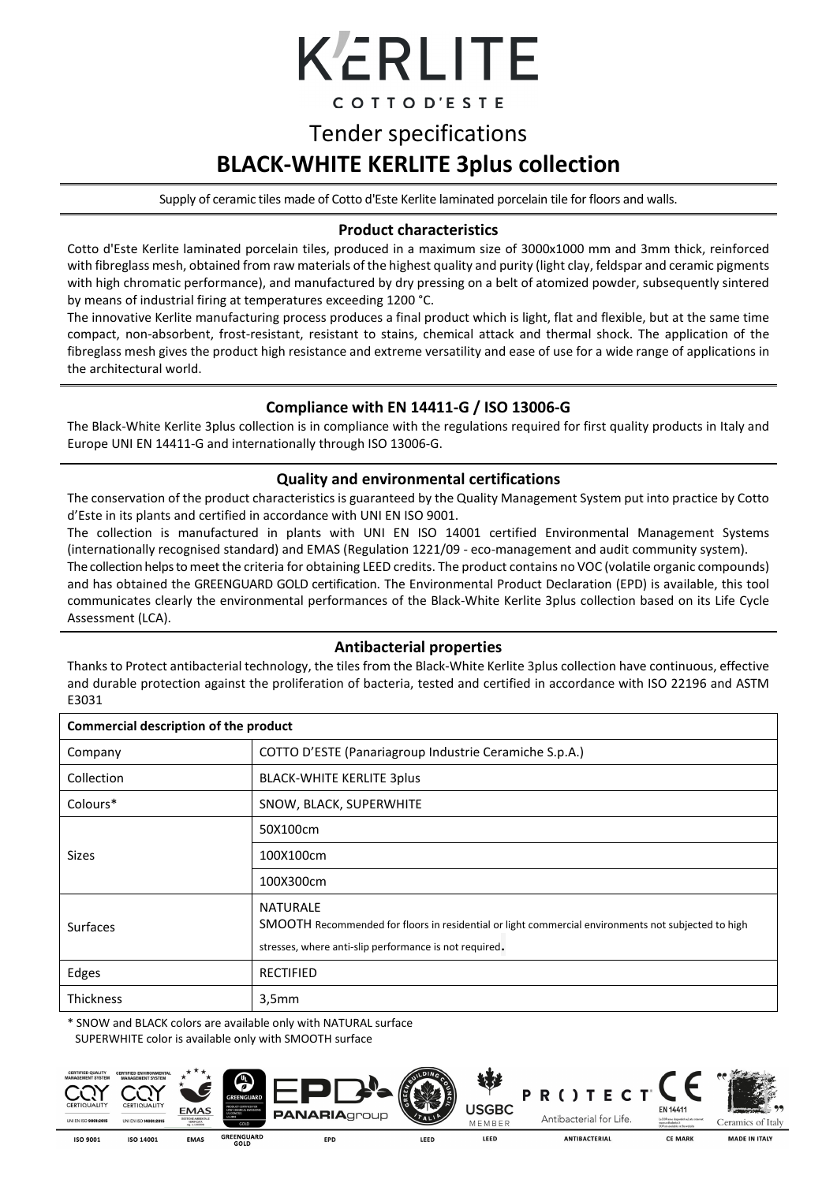# KERLITE

COTTOD'ESTE

### Tender specifications **BLACK-WHITE KERLITE 3plus collection**

Supply of ceramic tiles made of Cotto d'Este Kerlite laminated porcelain tile for floors and walls.

#### **Product characteristics**

Cotto d'Este Kerlite laminated porcelain tiles, produced in a maximum size of 3000x1000 mm and 3mm thick, reinforced with fibreglass mesh, obtained from raw materials of the highest quality and purity (light clay, feldspar and ceramic pigments with high chromatic performance), and manufactured by dry pressing on a belt of atomized powder, subsequently sintered by means of industrial firing at temperatures exceeding 1200 °C.

The innovative Kerlite manufacturing process produces a final product which is light, flat and flexible, but at the same time compact, non-absorbent, frost-resistant, resistant to stains, chemical attack and thermal shock. The application of the fibreglass mesh gives the product high resistance and extreme versatility and ease of use for a wide range of applications in the architectural world.

#### **Compliance with EN 14411-G / ISO 13006-G**

The Black-White Kerlite 3plus collection is in compliance with the regulations required for first quality products in Italy and Europe UNI EN 14411-G and internationally through ISO 13006-G.

#### **Quality and environmental certifications**

The conservation of the product characteristics is guaranteed by the Quality Management System put into practice by Cotto d'Este in its plants and certified in accordance with UNI EN ISO 9001.

The collection is manufactured in plants with UNI EN ISO 14001 certified Environmental Management Systems (internationally recognised standard) and EMAS (Regulation 1221/09 - eco-management and audit community system).

The collection helps to meet the criteria for obtaining LEED credits. The product contains no VOC (volatile organic compounds) and has obtained the GREENGUARD GOLD certification. The Environmental Product Declaration (EPD) is available, this tool communicates clearly the environmental performances of the Black-White Kerlite 3plus collection based on its Life Cycle Assessment (LCA).

#### **Antibacterial properties**

Thanks to Protect antibacterial technology, the tiles from the Black-White Kerlite 3plus collection have continuous, effective and durable protection against the proliferation of bacteria, tested and certified in accordance with ISO 22196 and ASTM E3031

| Commercial description of the product |                                                                                                                                                                                  |  |  |  |  |
|---------------------------------------|----------------------------------------------------------------------------------------------------------------------------------------------------------------------------------|--|--|--|--|
| Company                               | COTTO D'ESTE (Panariagroup Industrie Ceramiche S.p.A.)                                                                                                                           |  |  |  |  |
| Collection                            | <b>BLACK-WHITE KERLITE 3plus</b>                                                                                                                                                 |  |  |  |  |
| Colours*                              | SNOW, BLACK, SUPERWHITE                                                                                                                                                          |  |  |  |  |
|                                       | 50X100cm                                                                                                                                                                         |  |  |  |  |
| <b>Sizes</b>                          | 100X100cm                                                                                                                                                                        |  |  |  |  |
|                                       | 100X300cm                                                                                                                                                                        |  |  |  |  |
| <b>Surfaces</b>                       | <b>NATURALE</b><br>SMOOTH Recommended for floors in residential or light commercial environments not subjected to high<br>stresses, where anti-slip performance is not required. |  |  |  |  |
| Edges                                 | <b>RECTIFIED</b>                                                                                                                                                                 |  |  |  |  |
| <b>Thickness</b>                      | 3,5mm                                                                                                                                                                            |  |  |  |  |

\* SNOW and BLACK colors are available only with NATURAL surface SUPERWHITE color is available only with SMOOTH surface